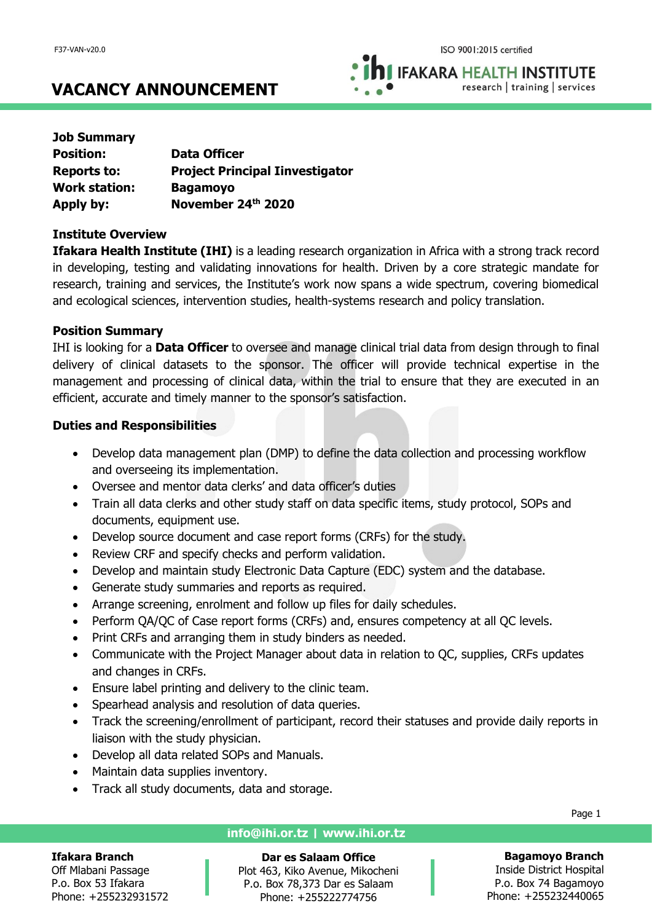**IFAKARA HEALTH INSTITUTE** research | training | services

# **VACANCY ANNOUNCEMENT**

| <b>Data Officer</b>                    |
|----------------------------------------|
| <b>Project Principal Iinvestigator</b> |
| <b>Bagamoyo</b>                        |
| November 24th 2020                     |
|                                        |

#### **Institute Overview**

**Ifakara Health Institute (IHI)** is a leading research organization in Africa with a strong track record in developing, testing and validating innovations for health. Driven by a core strategic mandate for research, training and services, the Institute's work now spans a wide spectrum, covering biomedical and ecological sciences, intervention studies, health-systems research and policy translation.

#### **Position Summary**

IHI is looking for a **Data Officer** to oversee and manage clinical trial data from design through to final delivery of clinical datasets to the sponsor. The officer will provide technical expertise in the management and processing of clinical data, within the trial to ensure that they are executed in an efficient, accurate and timely manner to the sponsor's satisfaction.

#### **Duties and Responsibilities**

- Develop data management plan (DMP) to define the data collection and processing workflow and overseeing its implementation.
- Oversee and mentor data clerks' and data officer's duties
- Train all data clerks and other study staff on data specific items, study protocol, SOPs and documents, equipment use.
- Develop source document and case report forms (CRFs) for the study.
- Review CRF and specify checks and perform validation.
- Develop and maintain study Electronic Data Capture (EDC) system and the database.
- Generate study summaries and reports as required.
- Arrange screening, enrolment and follow up files for daily schedules.
- Perform QA/QC of Case report forms (CRFs) and, ensures competency at all QC levels.
- Print CRFs and arranging them in study binders as needed.
- Communicate with the Project Manager about data in relation to QC, supplies, CRFs updates and changes in CRFs.
- Ensure label printing and delivery to the clinic team.
- Spearhead analysis and resolution of data queries.
- Track the screening/enrollment of participant, record their statuses and provide daily reports in liaison with the study physician.
- Develop all data related SOPs and Manuals.
- Maintain data supplies inventory.
- Track all study documents, data and storage.

#### **info@ihi.or.tz | www.ihi.or.tz**

**Ifakara Branch** Off Mlabani Passage P.o. Box 53 Ifakara Phone: +255232931572

#### **Dar es Salaam Office** Plot 463, Kiko Avenue, Mikocheni P.o. Box 78,373 Dar es Salaam Phone: +255222774756

Page 1

**Bagamoyo Branch**

Inside District Hospital P.o. Box 74 Bagamoyo Phone: +255232440065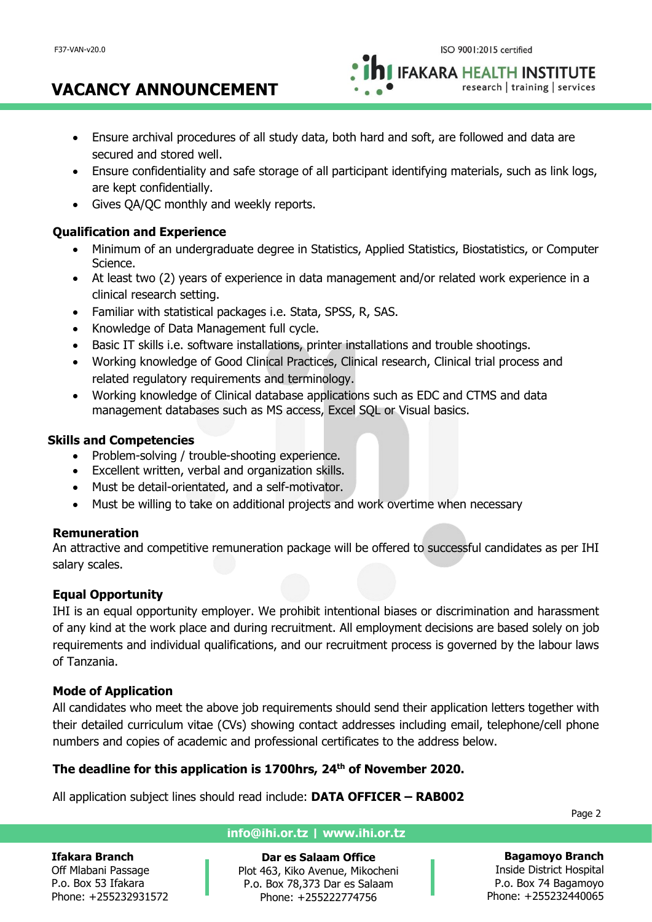**IFAKARA HEALTH INSTITUTE** research | training | services

- Ensure archival procedures of all study data, both hard and soft, are followed and data are secured and stored well.
- Ensure confidentiality and safe storage of all participant identifying materials, such as link logs, are kept confidentially.
- Gives QA/QC monthly and weekly reports.

**VACANCY ANNOUNCEMENT**

## **Qualification and Experience**

- Minimum of an undergraduate degree in Statistics, Applied Statistics, Biostatistics, or Computer Science.
- At least two (2) years of experience in data management and/or related work experience in a clinical research setting.
- Familiar with statistical packages i.e. Stata, SPSS, R, SAS.
- Knowledge of Data Management full cycle.
- Basic IT skills i.e. software installations, printer installations and trouble shootings.
- Working knowledge of Good Clinical Practices, Clinical research, Clinical trial process and related regulatory requirements and terminology.
- Working knowledge of Clinical database applications such as EDC and CTMS and data management databases such as MS access, Excel SQL or Visual basics.

## **Skills and Competencies**

- Problem-solving / trouble-shooting experience.
- Excellent written, verbal and organization skills.
- Must be detail-orientated, and a self-motivator.
- Must be willing to take on additional projects and work overtime when necessary

#### **Remuneration**

An attractive and competitive remuneration package will be offered to successful candidates as per IHI salary scales.

## **Equal Opportunity**

IHI is an equal opportunity employer. We prohibit intentional biases or discrimination and harassment of any kind at the work place and during recruitment. All employment decisions are based solely on job requirements and individual qualifications, and our recruitment process is governed by the labour laws of Tanzania.

#### **Mode of Application**

All candidates who meet the above job requirements should send their application letters together with their detailed curriculum vitae (CVs) showing contact addresses including email, telephone/cell phone numbers and copies of academic and professional certificates to the address below.

#### **The deadline for this application is 1700hrs, 24th of November 2020.**

All application subject lines should read include: **DATA OFFICER – RAB002**

Page 2

#### **Ifakara Branch**

Off Mlabani Passage P.o. Box 53 Ifakara Phone: +255232931572

## **info@ihi.or.tz | www.ihi.or.tz**

**Dar es Salaam Office** Plot 463, Kiko Avenue, Mikocheni P.o. Box 78,373 Dar es Salaam Phone: +255222774756

**Bagamoyo Branch** Inside District Hospital P.o. Box 74 Bagamoyo Phone: +255232440065